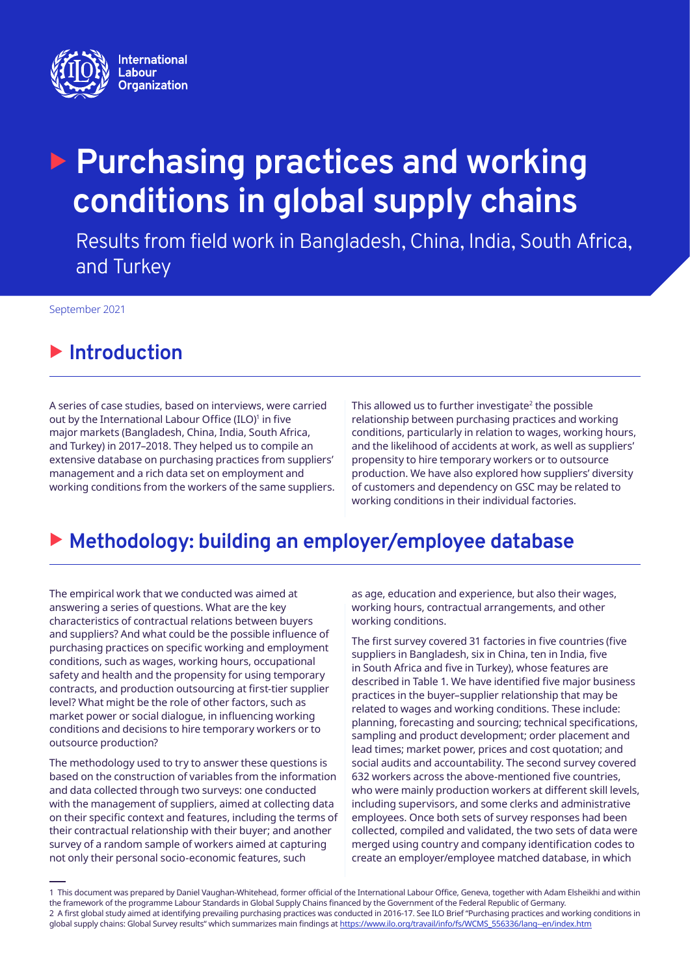

# **Purchasing practices and working conditions in global supply chains**

Results from field work in Bangladesh, China, India, South Africa, and Turkey

September 2021

# **E** Introduction

A series of case studies, based on interviews, were carried out by the International Labour Office (ILO)<sup>1</sup> in five major markets (Bangladesh, China, India, South Africa, and Turkey) in 2017–2018. They helped us to compile an extensive database on purchasing practices from suppliers' management and a rich data set on employment and working conditions from the workers of the same suppliers. This allowed us to further investigate<sup>2</sup> the possible relationship between purchasing practices and working conditions, particularly in relation to wages, working hours, and the likelihood of accidents at work, as well as suppliers' propensity to hire temporary workers or to outsource production. We have also explored how suppliers' diversity of customers and dependency on GSC may be related to working conditions in their individual factories.

# X **Methodology: building an employer/employee database**

The empirical work that we conducted was aimed at answering a series of questions. What are the key characteristics of contractual relations between buyers and suppliers? And what could be the possible influence of purchasing practices on specific working and employment conditions, such as wages, working hours, occupational safety and health and the propensity for using temporary contracts, and production outsourcing at first-tier supplier level? What might be the role of other factors, such as market power or social dialogue, in influencing working conditions and decisions to hire temporary workers or to outsource production?

The methodology used to try to answer these questions is based on the construction of variables from the information and data collected through two surveys: one conducted with the management of suppliers, aimed at collecting data on their specific context and features, including the terms of their contractual relationship with their buyer; and another survey of a random sample of workers aimed at capturing not only their personal socio-economic features, such

as age, education and experience, but also their wages, working hours, contractual arrangements, and other working conditions.

The first survey covered 31 factories in five countries (five suppliers in Bangladesh, six in China, ten in India, five in South Africa and five in Turkey), whose features are described in Table 1. We have identified five major business practices in the buyer–supplier relationship that may be related to wages and working conditions. These include: planning, forecasting and sourcing; technical specifications, sampling and product development; order placement and lead times; market power, prices and cost quotation; and social audits and accountability. The second survey covered 632 workers across the above-mentioned five countries, who were mainly production workers at different skill levels, including supervisors, and some clerks and administrative employees. Once both sets of survey responses had been collected, compiled and validated, the two sets of data were merged using country and company identification codes to create an employer/employee matched database, in which

<sup>1</sup> This document was prepared by Daniel Vaughan-Whitehead, former official of the International Labour Office, Geneva, together with Adam Elsheikhi and within the framework of the programme Labour Standards in Global Supply Chains financed by the Government of the Federal Republic of Germany. 2 A first global study aimed at identifying prevailing purchasing practices was conducted in 2016-17. See ILO Brief "Purchasing practices and working conditions in global supply chains: Global Survey results" which summarizes main findings at [https://www.ilo.org/travail/info/fs/WCMS\\_556336/lang--en/index.htm](https://www.ilo.org/travail/info/fs/WCMS_556336/lang--en/index.htm)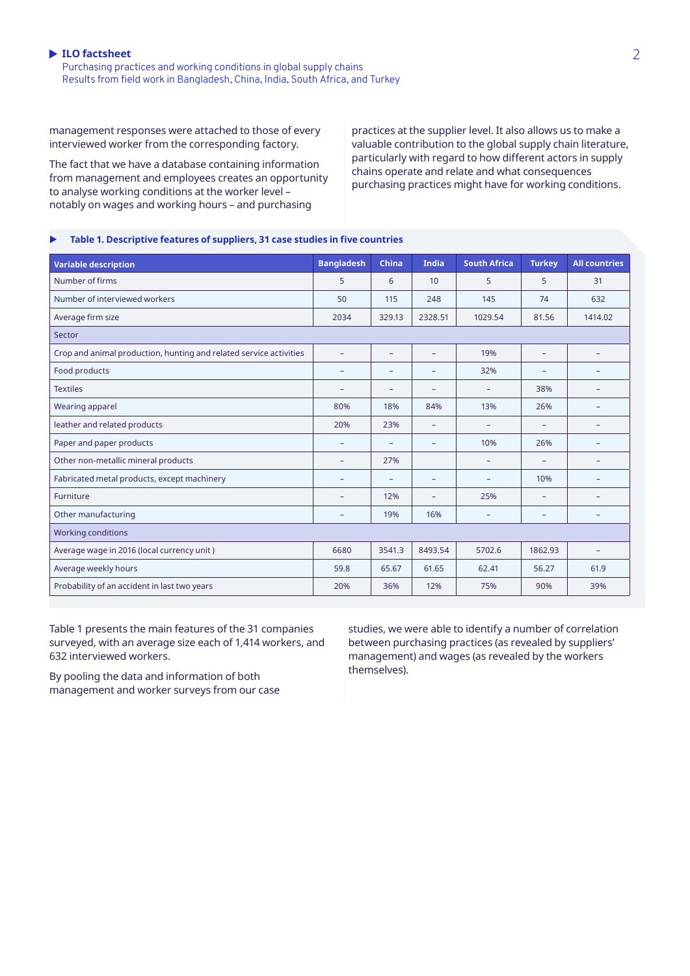Purchasing practices and working conditions in global supply chains Results from field work in Bangladesh, China, India, South Africa, and Turkey

management responses were attached to those of every interviewed worker from the corresponding factory.

The fact that we have a database containing information from management and employees creates an opportunity to analyse working conditions at the worker level – notably on wages and working hours – and purchasing

practices at the supplier level. It also allows us to make a valuable contribution to the global supply chain literature, particularly with regard to how different actors in supply chains operate and relate and what consequences purchasing practices might have for working conditions.

### X **Table 1. Descriptive features of suppliers, 31 case studies in five countries**

| <b>Variable description</b>                                        | <b>Bangladesh</b>        | <b>China</b>             | India             | <b>South Africa</b>      | <b>Turkey</b>            | <b>All countries</b>     |
|--------------------------------------------------------------------|--------------------------|--------------------------|-------------------|--------------------------|--------------------------|--------------------------|
| Number of firms                                                    | 5                        | 6                        | 10                | 5                        | 5                        | 31                       |
| Number of interviewed workers                                      | 50                       | 115                      | 248               | 145                      | 74                       | 632                      |
| Average firm size                                                  | 2034                     | 329.13                   | 2328.51           | 1029.54                  | 81.56                    | 1414.02                  |
| Sector                                                             |                          |                          |                   |                          |                          |                          |
| Crop and animal production, hunting and related service activities | -                        | ٠                        | ۳                 | 19%                      | -                        | -                        |
| Food products                                                      | $\equiv$                 | ۰                        | ۰                 | 32%                      | $\overline{\phantom{0}}$ | $\overline{\phantom{a}}$ |
| <b>Textiles</b>                                                    |                          | ۰                        | ۰                 | $\qquad \qquad -$        | 38%                      | -                        |
| Wearing apparel                                                    | 80%                      | 18%                      | 84%               | 13%                      | 26%                      | $\overline{\phantom{0}}$ |
| leather and related products                                       | 20%                      | 23%                      | $\qquad \qquad -$ | -                        | -                        | $\qquad \qquad$          |
| Paper and paper products                                           | $\overline{a}$           | ۰                        | ۳                 | 10%                      | 26%                      | -                        |
| Other non-metallic mineral products                                | $\overline{\phantom{0}}$ | 27%                      |                   | $\overline{\phantom{0}}$ | -                        | -                        |
| Fabricated metal products, except machinery                        | $\overline{\phantom{0}}$ | $\overline{\phantom{0}}$ | -                 | $\equiv$                 | 10%                      | -                        |
| Furniture                                                          | $\equiv$                 | 12%                      | -                 | 25%                      | $\overline{\phantom{a}}$ |                          |
| Other manufacturing                                                | $\overline{\phantom{0}}$ | 19%                      | 16%               | $\qquad \qquad -$        | -                        | $\overline{\phantom{m}}$ |
| <b>Working conditions</b>                                          |                          |                          |                   |                          |                          |                          |
| Average wage in 2016 (local currency unit)                         | 6680                     | 3541.3                   | 8493.54           | 5702.6                   | 1862.93                  | $\overline{\phantom{a}}$ |
| Average weekly hours                                               | 59.8                     | 65.67                    | 61.65             | 62.41                    | 56.27                    | 61.9                     |
| Probability of an accident in last two years                       | 20%                      | 36%                      | 12%               | 75%                      | 90%                      | 39%                      |

Table 1 presents the main features of the 31 companies surveyed, with an average size each of 1,414 workers, and 632 interviewed workers.

By pooling the data and information of both management and worker surveys from our case studies, we were able to identify a number of correlation between purchasing practices (as revealed by suppliers' management) and wages (as revealed by the workers themselves).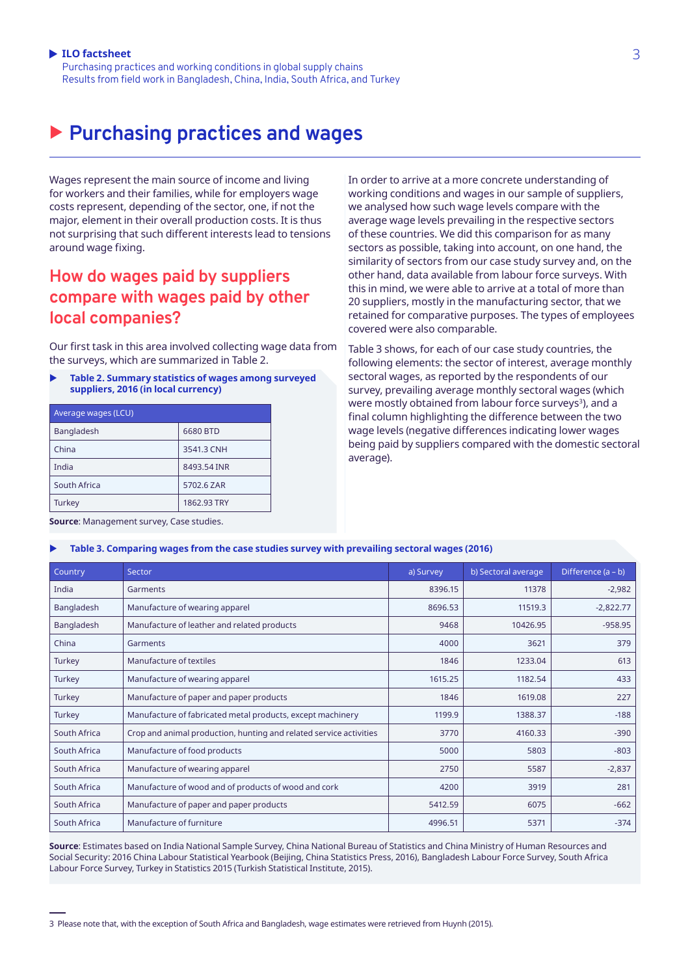Purchasing practices and working conditions in global supply chains Results from field work in Bangladesh, China, India, South Africa, and Turkey

# X **Purchasing practices and wages**

Wages represent the main source of income and living for workers and their families, while for employers wage costs represent, depending of the sector, one, if not the major, element in their overall production costs. It is thus not surprising that such different interests lead to tensions around wage fixing.

### **How do wages paid by suppliers compare with wages paid by other local companies?**

Our first task in this area involved collecting wage data from the surveys, which are summarized in Table 2.

**Table 2. Summary statistics of wages among surveyed suppliers, 2016 (in local currency)**

| Average wages (LCU) |             |  |  |
|---------------------|-------------|--|--|
| <b>Bangladesh</b>   | 6680 BTD    |  |  |
| China               | 3541.3 CNH  |  |  |
| India               | 8493.54 INR |  |  |
| South Africa        | 5702.6 ZAR  |  |  |
| Turkey              | 1862.93 TRY |  |  |

In order to arrive at a more concrete understanding of working conditions and wages in our sample of suppliers, we analysed how such wage levels compare with the average wage levels prevailing in the respective sectors of these countries. We did this comparison for as many sectors as possible, taking into account, on one hand, the similarity of sectors from our case study survey and, on the other hand, data available from labour force surveys. With this in mind, we were able to arrive at a total of more than 20 suppliers, mostly in the manufacturing sector, that we retained for comparative purposes. The types of employees covered were also comparable.

Table 3 shows, for each of our case study countries, the following elements: the sector of interest, average monthly sectoral wages, as reported by the respondents of our survey, prevailing average monthly sectoral wages (which were mostly obtained from labour force surveys<sup>3</sup>), and a final column highlighting the difference between the two wage levels (negative differences indicating lower wages being paid by suppliers compared with the domestic sectoral average).

**Source**: Management survey, Case studies.

#### Table 3. Comparing wages from the case studies survey with prevailing sectoral wages (2016)

| Country      | Sector                                                             | a) Survey | b) Sectoral average | Difference $(a - b)$ |
|--------------|--------------------------------------------------------------------|-----------|---------------------|----------------------|
| India        | Garments                                                           | 8396.15   | 11378               | $-2,982$             |
| Bangladesh   | Manufacture of wearing apparel                                     | 8696.53   | 11519.3             | $-2,822.77$          |
| Bangladesh   | Manufacture of leather and related products                        | 9468      | 10426.95            | $-958.95$            |
| China        | Garments                                                           | 4000      | 3621                | 379                  |
| Turkey       | Manufacture of textiles                                            | 1846      | 1233.04             | 613                  |
| Turkey       | Manufacture of wearing apparel                                     | 1615.25   | 1182.54             | 433                  |
| Turkey       | Manufacture of paper and paper products                            | 1846      | 1619.08             | 227                  |
| Turkey       | Manufacture of fabricated metal products, except machinery         | 1199.9    | 1388.37             | $-188$               |
| South Africa | Crop and animal production, hunting and related service activities | 3770      | 4160.33             | $-390$               |
| South Africa | Manufacture of food products                                       | 5000      | 5803                | $-803$               |
| South Africa | Manufacture of wearing apparel                                     | 2750      | 5587                | $-2,837$             |
| South Africa | Manufacture of wood and of products of wood and cork               | 4200      | 3919                | 281                  |
| South Africa | Manufacture of paper and paper products                            | 5412.59   | 6075                | $-662$               |
| South Africa | Manufacture of furniture                                           | 4996.51   | 5371                | $-374$               |

**Source**: Estimates based on India National Sample Survey, China National Bureau of Statistics and China Ministry of Human Resources and Social Security: 2016 China Labour Statistical Yearbook (Beijing, China Statistics Press, 2016), Bangladesh Labour Force Survey, South Africa Labour Force Survey, Turkey in Statistics 2015 (Turkish Statistical Institute, 2015).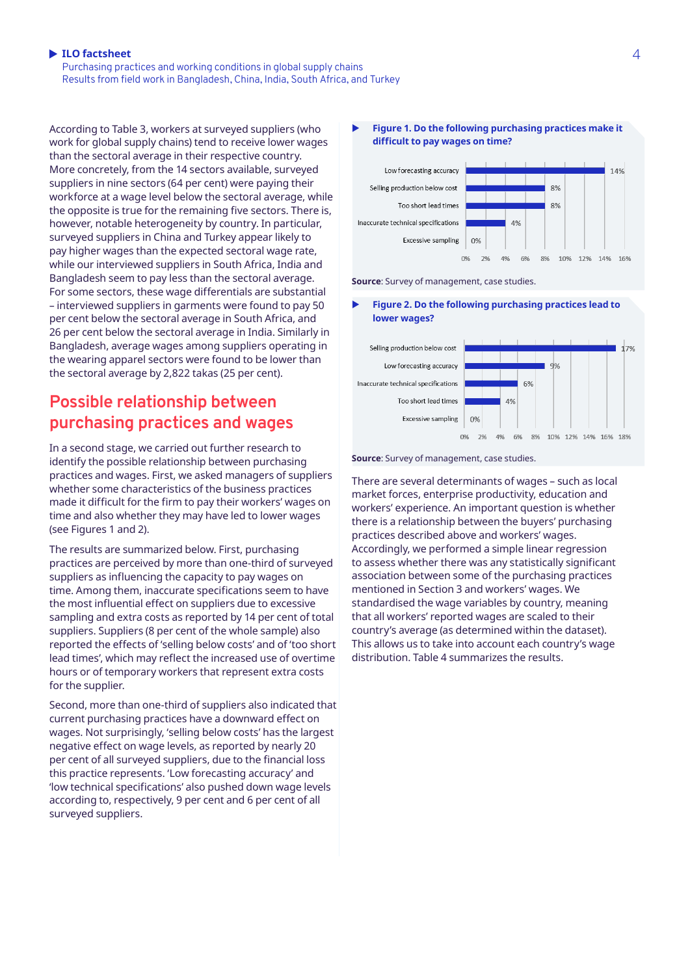Purchasing practices and working conditions in global supply chains Results from field work in Bangladesh, China, India, South Africa, and Turkey

According to Table 3, workers at surveyed suppliers (who work for global supply chains) tend to receive lower wages than the sectoral average in their respective country. More concretely, from the 14 sectors available, surveyed suppliers in nine sectors (64 per cent) were paying their workforce at a wage level below the sectoral average, while the opposite is true for the remaining five sectors. There is, however, notable heterogeneity by country. In particular, surveyed suppliers in China and Turkey appear likely to pay higher wages than the expected sectoral wage rate, while our interviewed suppliers in South Africa, India and Bangladesh seem to pay less than the sectoral average. For some sectors, these wage differentials are substantial – interviewed suppliers in garments were found to pay 50 per cent below the sectoral average in South Africa, and 26 per cent below the sectoral average in India. Similarly in Bangladesh, average wages among suppliers operating in the wearing apparel sectors were found to be lower than the sectoral average by 2,822 takas (25 per cent).

### **Possible relationship between purchasing practices and wages**

In a second stage, we carried out further research to identify the possible relationship between purchasing practices and wages. First, we asked managers of suppliers whether some characteristics of the business practices made it difficult for the firm to pay their workers' wages on time and also whether they may have led to lower wages (see Figures 1 and 2).

The results are summarized below. First, purchasing practices are perceived by more than one-third of surveyed suppliers as influencing the capacity to pay wages on time. Among them, inaccurate specifications seem to have the most influential effect on suppliers due to excessive sampling and extra costs as reported by 14 per cent of total suppliers. Suppliers (8 per cent of the whole sample) also reported the effects of 'selling below costs' and of 'too short lead times', which may reflect the increased use of overtime hours or of temporary workers that represent extra costs for the supplier.

Second, more than one-third of suppliers also indicated that current purchasing practices have a downward effect on wages. Not surprisingly, 'selling below costs' has the largest negative effect on wage levels, as reported by nearly 20 per cent of all surveyed suppliers, due to the financial loss this practice represents. 'Low forecasting accuracy' and 'low technical specifications' also pushed down wage levels according to, respectively, 9 per cent and 6 per cent of all surveyed suppliers.

### Figure 1. Do the following purchasing practices make it **difficult to pay wages on time?**



**Source**: Survey of management, case studies.

#### Figure 2. Do the following purchasing practices lead to **lower wages?**



**Source**: Survey of management, case studies.

There are several determinants of wages – such as local market forces, enterprise productivity, education and workers' experience. An important question is whether there is a relationship between the buyers' purchasing practices described above and workers' wages. Accordingly, we performed a simple linear regression to assess whether there was any statistically significant association between some of the purchasing practices mentioned in Section 3 and workers' wages. We standardised the wage variables by country, meaning that all workers' reported wages are scaled to their country's average (as determined within the dataset). This allows us to take into account each country's wage distribution. Table 4 summarizes the results.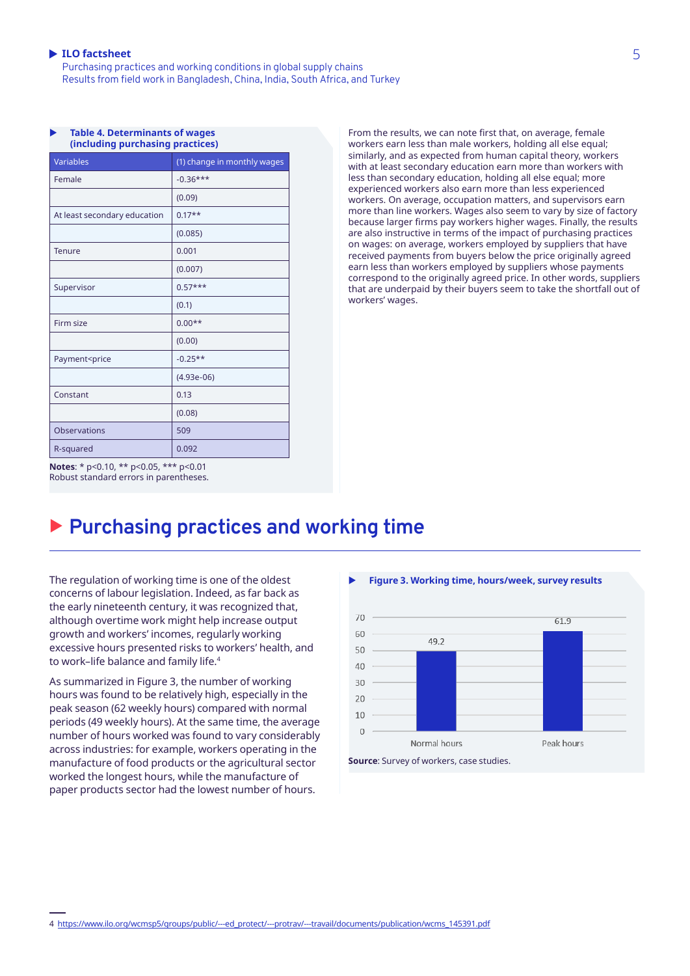**Table 4. Determinants of wages** 

Purchasing practices and working conditions in global supply chains Results from field work in Bangladesh, China, India, South Africa, and Turkey

| (including purchasing practices) |  |  |  |  |
|----------------------------------|--|--|--|--|
| (1) change in monthly wages      |  |  |  |  |
| $-0.36***$                       |  |  |  |  |
| (0.09)                           |  |  |  |  |
| $0.17**$                         |  |  |  |  |
| (0.085)                          |  |  |  |  |
| 0.001                            |  |  |  |  |
| (0.007)                          |  |  |  |  |
| $0.57***$                        |  |  |  |  |
| (0.1)                            |  |  |  |  |
| $0.00**$                         |  |  |  |  |
| (0.00)                           |  |  |  |  |
| $-0.25**$                        |  |  |  |  |
| $(4.93e-06)$                     |  |  |  |  |
| 0.13                             |  |  |  |  |
| (0.08)                           |  |  |  |  |
| 509                              |  |  |  |  |
| 0.092                            |  |  |  |  |
|                                  |  |  |  |  |

From the results, we can note first that, on average, female workers earn less than male workers, holding all else equal; similarly, and as expected from human capital theory, workers with at least secondary education earn more than workers with less than secondary education, holding all else equal; more experienced workers also earn more than less experienced workers. On average, occupation matters, and supervisors earn more than line workers. Wages also seem to vary by size of factory because larger firms pay workers higher wages. Finally, the results are also instructive in terms of the impact of purchasing practices on wages: on average, workers employed by suppliers that have received payments from buyers below the price originally agreed earn less than workers employed by suppliers whose payments correspond to the originally agreed price. In other words, suppliers that are underpaid by their buyers seem to take the shortfall out of workers' wages.

# X **Purchasing practices and working time**

The regulation of working time is one of the oldest concerns of labour legislation. Indeed, as far back as the early nineteenth century, it was recognized that, although overtime work might help increase output growth and workers' incomes, regularly working excessive hours presented risks to workers' health, and to work–life balance and family life.<sup>4</sup>

As summarized in Figure 3, the number of working hours was found to be relatively high, especially in the peak season (62 weekly hours) compared with normal periods (49 weekly hours). At the same time, the average number of hours worked was found to vary considerably across industries: for example, workers operating in the manufacture of food products or the agricultural sector worked the longest hours, while the manufacture of paper products sector had the lowest number of hours.



**Notes**: \* p<0.10, \*\* p<0.05, \*\*\* p<0.01 Robust standard errors in parentheses.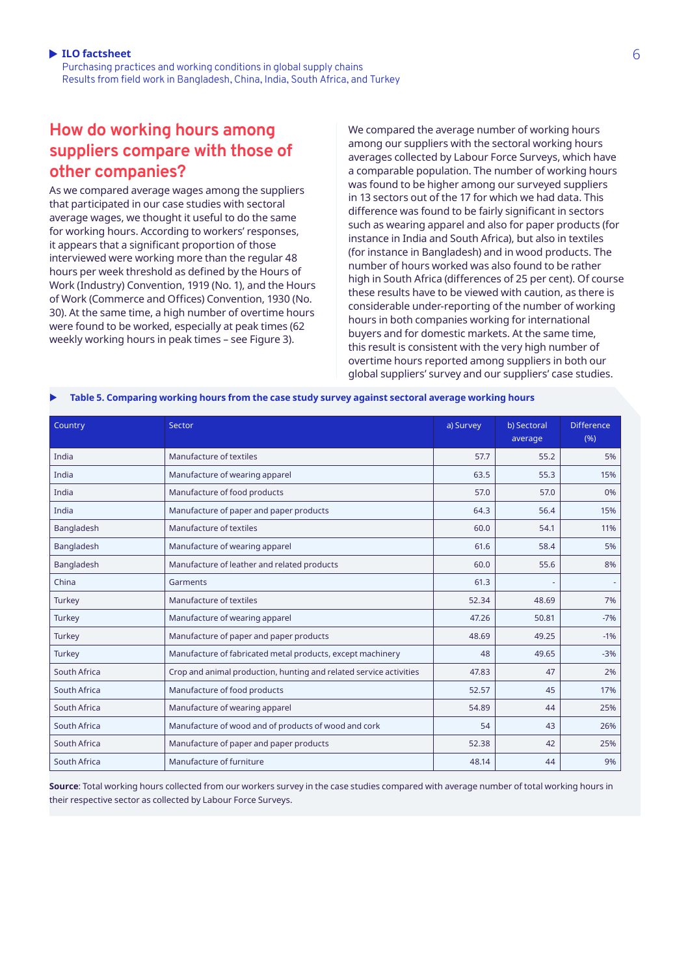# **How do working hours among suppliers compare with those of other companies?**

As we compared average wages among the suppliers that participated in our case studies with sectoral average wages, we thought it useful to do the same for working hours. According to workers' responses, it appears that a significant proportion of those interviewed were working more than the regular 48 hours per week threshold as defined by the Hours of Work (Industry) Convention, 1919 (No. 1), and the Hours of Work (Commerce and Offices) Convention, 1930 (No. 30). At the same time, a high number of overtime hours were found to be worked, especially at peak times (62 weekly working hours in peak times – see Figure 3).

We compared the average number of working hours among our suppliers with the sectoral working hours averages collected by Labour Force Surveys, which have a comparable population. The number of working hours was found to be higher among our surveyed suppliers in 13 sectors out of the 17 for which we had data. This difference was found to be fairly significant in sectors such as wearing apparel and also for paper products (for instance in India and South Africa), but also in textiles (for instance in Bangladesh) and in wood products. The number of hours worked was also found to be rather high in South Africa (differences of 25 per cent). Of course these results have to be viewed with caution, as there is considerable under-reporting of the number of working hours in both companies working for international buyers and for domestic markets. At the same time, this result is consistent with the very high number of overtime hours reported among suppliers in both our global suppliers' survey and our suppliers' case studies.

| Table 5. Comparing working hours from the case study survey against sectoral average working hours |  |  |
|----------------------------------------------------------------------------------------------------|--|--|
|                                                                                                    |  |  |

| Country      | Sector                                                             | a) Survey | b) Sectoral<br>average | <b>Difference</b><br>(%) |
|--------------|--------------------------------------------------------------------|-----------|------------------------|--------------------------|
| India        | Manufacture of textiles                                            | 57.7      | 55.2                   | 5%                       |
| India        | Manufacture of wearing apparel                                     | 63.5      | 55.3                   | 15%                      |
| India        | Manufacture of food products                                       | 57.0      | 57.0                   | 0%                       |
| India        | Manufacture of paper and paper products                            | 64.3      | 56.4                   | 15%                      |
| Bangladesh   | Manufacture of textiles                                            | 60.0      | 54.1                   | 11%                      |
| Bangladesh   | Manufacture of wearing apparel                                     | 61.6      | 58.4                   | 5%                       |
| Bangladesh   | Manufacture of leather and related products                        | 60.0      | 55.6                   | 8%                       |
| China        | Garments                                                           | 61.3      |                        |                          |
| Turkey       | Manufacture of textiles                                            | 52.34     | 48.69                  | 7%                       |
| Turkey       | Manufacture of wearing apparel                                     | 47.26     | 50.81                  | $-7%$                    |
| Turkey       | Manufacture of paper and paper products                            | 48.69     | 49.25                  | $-1%$                    |
| Turkey       | Manufacture of fabricated metal products, except machinery         | 48        | 49.65                  | $-3%$                    |
| South Africa | Crop and animal production, hunting and related service activities | 47.83     | 47                     | 2%                       |
| South Africa | Manufacture of food products                                       | 52.57     | 45                     | 17%                      |
| South Africa | Manufacture of wearing apparel                                     | 54.89     | 44                     | 25%                      |
| South Africa | Manufacture of wood and of products of wood and cork               | 54        | 43                     | 26%                      |
| South Africa | Manufacture of paper and paper products                            | 52.38     | 42                     | 25%                      |
| South Africa | Manufacture of furniture                                           | 48.14     | 44                     | 9%                       |

**Source**: Total working hours collected from our workers survey in the case studies compared with average number of total working hours in their respective sector as collected by Labour Force Surveys.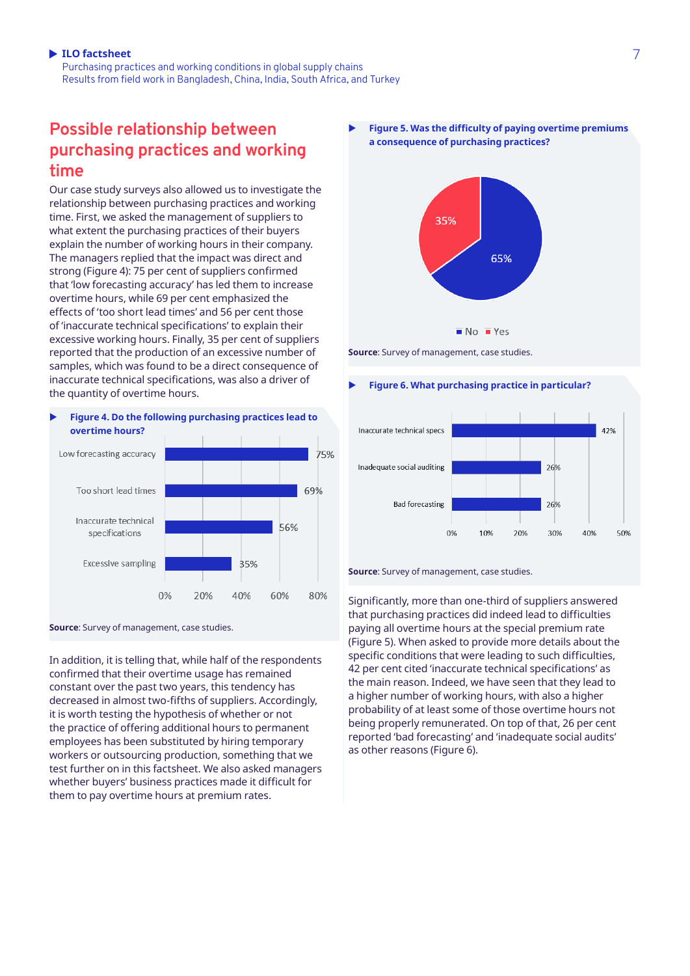Purchasing practices and working conditions in global supply chains Results from field work in Bangladesh, China, India, South Africa, and Turkey

### **Possible relationship between purchasing practices and working time**

Our case study surveys also allowed us to investigate the relationship between purchasing practices and working time. First, we asked the management of suppliers to what extent the purchasing practices of their buyers explain the number of working hours in their company. The managers replied that the impact was direct and strong (Figure 4): 75 per cent of suppliers confirmed that 'low forecasting accuracy' has led them to increase overtime hours, while 69 per cent emphasized the effects of 'too short lead times' and 56 per cent those of 'inaccurate technical specifications' to explain their excessive working hours. Finally, 35 per cent of suppliers reported that the production of an excessive number of samples, which was found to be a direct consequence of inaccurate technical specifications, was also a driver of the quantity of overtime hours.

### X **Figure 4. Do the following purchasing practices lead to overtime hours?**





In addition, it is telling that, while half of the respondents confirmed that their overtime usage has remained constant over the past two years, this tendency has decreased in almost two-fifths of suppliers. Accordingly, it is worth testing the hypothesis of whether or not the practice of offering additional hours to permanent employees has been substituted by hiring temporary workers or outsourcing production, something that we test further on in this factsheet. We also asked managers whether buyers' business practices made it difficult for them to pay overtime hours at premium rates.

Figure 5. Was the difficulty of paying overtime premiums **a consequence of purchasing practices?**



**Source**: Survey of management, case studies.

### **Figure 6. What purchasing practice in particular?**



**Source**: Survey of management, case studies.

Significantly, more than one-third of suppliers answered that purchasing practices did indeed lead to difficulties paying all overtime hours at the special premium rate (Figure 5). When asked to provide more details about the specific conditions that were leading to such difficulties, 42 per cent cited 'inaccurate technical specifications' as the main reason. Indeed, we have seen that they lead to a higher number of working hours, with also a higher probability of at least some of those overtime hours not being properly remunerated. On top of that, 26 per cent reported 'bad forecasting' and 'inadequate social audits' as other reasons (Figure 6).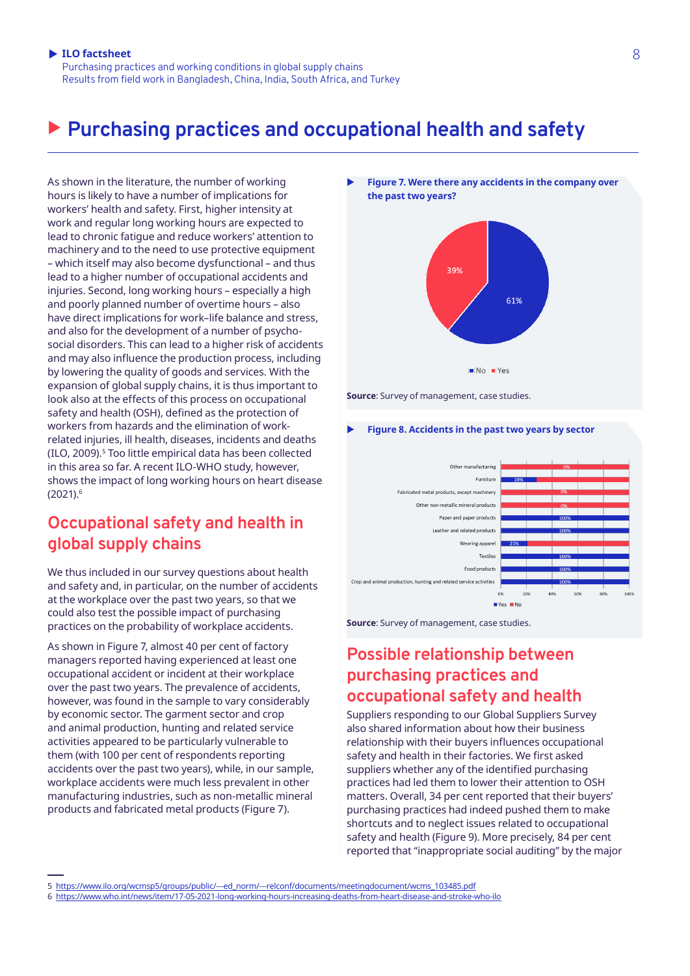Purchasing practices and working conditions in global supply chains Results from field work in Bangladesh, China, India, South Africa, and Turkey

# X **Purchasing practices and occupational health and safety**

As shown in the literature, the number of working hours is likely to have a number of implications for workers' health and safety. First, higher intensity at work and regular long working hours are expected to lead to chronic fatigue and reduce workers' attention to machinery and to the need to use protective equipment – which itself may also become dysfunctional – and thus lead to a higher number of occupational accidents and injuries. Second, long working hours – especially a high and poorly planned number of overtime hours – also have direct implications for work–life balance and stress, and also for the development of a number of psychosocial disorders. This can lead to a higher risk of accidents and may also influence the production process, including by lowering the quality of goods and services. With the expansion of global supply chains, it is thus important to look also at the effects of this process on occupational safety and health (OSH), defined as the protection of workers from hazards and the elimination of workrelated injuries, ill health, diseases, incidents and deaths (ILO, 2009).<sup>5</sup> Too little empirical data has been collected in this area so far. A recent ILO-WHO study, however, shows the impact of long working hours on heart disease (2021).6

### **Occupational safety and health in global supply chains**

We thus included in our survey questions about health and safety and, in particular, on the number of accidents at the workplace over the past two years, so that we could also test the possible impact of purchasing practices on the probability of workplace accidents.

As shown in Figure 7, almost 40 per cent of factory managers reported having experienced at least one occupational accident or incident at their workplace over the past two years. The prevalence of accidents, however, was found in the sample to vary considerably by economic sector. The garment sector and crop and animal production, hunting and related service activities appeared to be particularly vulnerable to them (with 100 per cent of respondents reporting accidents over the past two years), while, in our sample, workplace accidents were much less prevalent in other manufacturing industries, such as non-metallic mineral products and fabricated metal products (Figure 7).



**Source**: Survey of management, case studies.





**Source**: Survey of management, case studies.

### **Possible relationship between purchasing practices and occupational safety and health**

Suppliers responding to our Global Suppliers Survey also shared information about how their business relationship with their buyers influences occupational safety and health in their factories. We first asked suppliers whether any of the identified purchasing practices had led them to lower their attention to OSH matters. Overall, 34 per cent reported that their buyers' purchasing practices had indeed pushed them to make shortcuts and to neglect issues related to occupational safety and health (Figure 9). More precisely, 84 per cent reported that "inappropriate social auditing" by the major

6 <https://www.who.int/news/item/17-05-2021-long-working-hours-increasing-deaths-from-heart-disease-and-stroke-who-ilo>

<sup>5</sup> [https://www.ilo.org/wcmsp5/groups/public/---ed\\_norm/---relconf/documents/meetingdocument/wcms\\_103485.pdf](https://www.ilo.org/wcmsp5/groups/public/---ed_norm/---relconf/documents/meetingdocument/wcms_103485.pdf)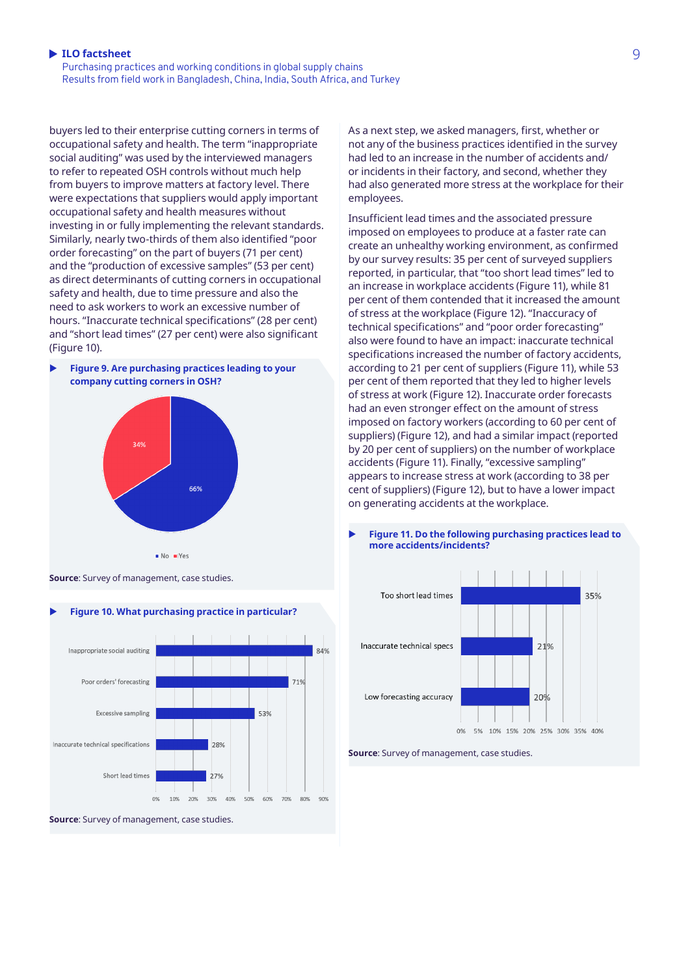Purchasing practices and working conditions in global supply chains Results from field work in Bangladesh, China, India, South Africa, and Turkey

buyers led to their enterprise cutting corners in terms of occupational safety and health. The term "inappropriate social auditing" was used by the interviewed managers to refer to repeated OSH controls without much help from buyers to improve matters at factory level. There were expectations that suppliers would apply important occupational safety and health measures without investing in or fully implementing the relevant standards. Similarly, nearly two-thirds of them also identified "poor order forecasting" on the part of buyers (71 per cent) and the "production of excessive samples" (53 per cent) as direct determinants of cutting corners in occupational safety and health, due to time pressure and also the need to ask workers to work an excessive number of hours. "Inaccurate technical specifications" (28 per cent) and "short lead times" (27 per cent) were also significant (Figure 10).



**Source**: Survey of management, case studies.



**Source**: Survey of management, case studies.

As a next step, we asked managers, first, whether or not any of the business practices identified in the survey had led to an increase in the number of accidents and/ or incidents in their factory, and second, whether they had also generated more stress at the workplace for their employees.

Insufficient lead times and the associated pressure imposed on employees to produce at a faster rate can create an unhealthy working environment, as confirmed by our survey results: 35 per cent of surveyed suppliers reported, in particular, that "too short lead times" led to an increase in workplace accidents (Figure 11), while 81 per cent of them contended that it increased the amount of stress at the workplace (Figure 12). "Inaccuracy of technical specifications" and "poor order forecasting" also were found to have an impact: inaccurate technical specifications increased the number of factory accidents, according to 21 per cent of suppliers (Figure 11), while 53 per cent of them reported that they led to higher levels of stress at work (Figure 12). Inaccurate order forecasts had an even stronger effect on the amount of stress imposed on factory workers (according to 60 per cent of suppliers) (Figure 12), and had a similar impact (reported by 20 per cent of suppliers) on the number of workplace accidents (Figure 11). Finally, "excessive sampling" appears to increase stress at work (according to 38 per cent of suppliers) (Figure 12), but to have a lower impact on generating accidents at the workplace.



### Figure 11. Do the following purchasing practices lead to **more accidents/incidents?**

**Source**: Survey of management, case studies.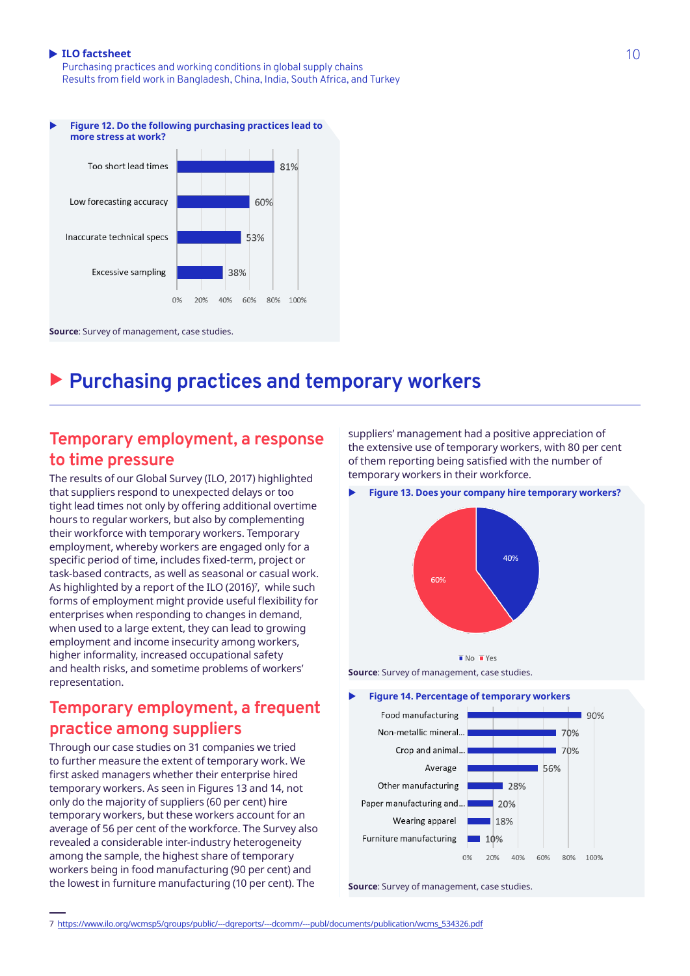Purchasing practices and working conditions in global supply chains Results from field work in Bangladesh, China, India, South Africa, and Turkey



# ▶ Purchasing practices and temporary workers

### **Temporary employment, a response to time pressure**

The results of our Global Survey (ILO, 2017) highlighted that suppliers respond to unexpected delays or too tight lead times not only by offering additional overtime hours to regular workers, but also by complementing their workforce with temporary workers. Temporary employment, whereby workers are engaged only for a specific period of time, includes fixed-term, project or task-based contracts, as well as seasonal or casual work. As highlighted by a report of the ILO (2016)<sup>7</sup>, while such forms of employment might provide useful flexibility for enterprises when responding to changes in demand, when used to a large extent, they can lead to growing employment and income insecurity among workers, higher informality, increased occupational safety and health risks, and sometime problems of workers' representation.

# **Temporary employment, a frequent practice among suppliers**

Through our case studies on 31 companies we tried to further measure the extent of temporary work. We first asked managers whether their enterprise hired temporary workers. As seen in Figures 13 and 14, not only do the majority of suppliers (60 per cent) hire temporary workers, but these workers account for an average of 56 per cent of the workforce. The Survey also revealed a considerable inter-industry heterogeneity among the sample, the highest share of temporary workers being in food manufacturing (90 per cent) and the lowest in furniture manufacturing (10 per cent). The

suppliers' management had a positive appreciation of the extensive use of temporary workers, with 80 per cent of them reporting being satisfied with the number of temporary workers in their workforce.

**Figure 13. Does your company hire temporary workers?** 





#### **Figure 14. Percentage of temporary workers**



**Source**: Survey of management, case studies.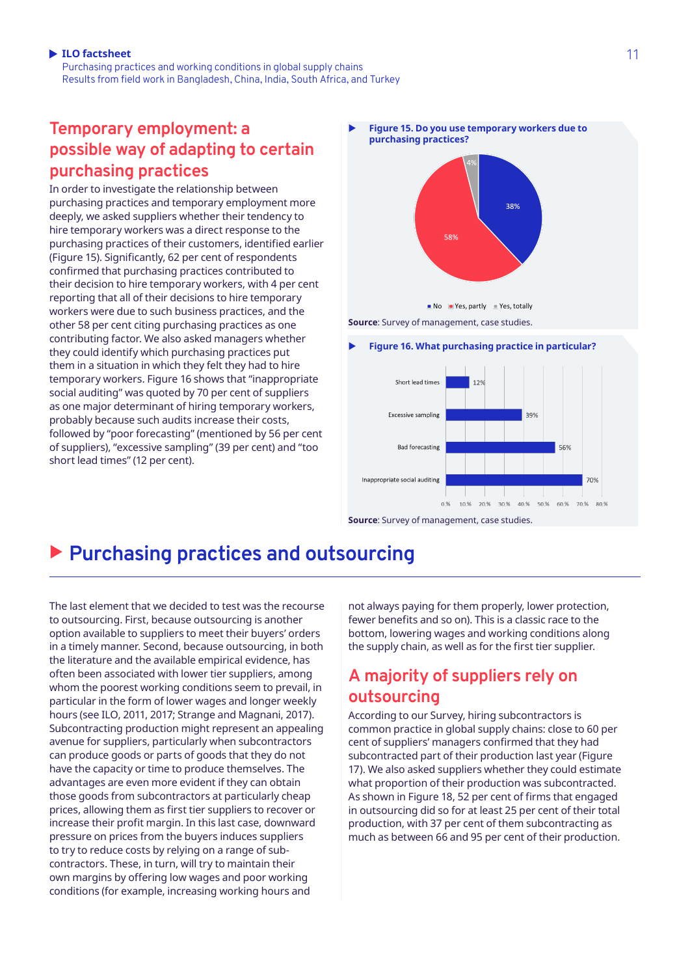Purchasing practices and working conditions in global supply chains Results from field work in Bangladesh, China, India, South Africa, and Turkey

# **Temporary employment: a possible way of adapting to certain purchasing practices**

In order to investigate the relationship between purchasing practices and temporary employment more deeply, we asked suppliers whether their tendency to hire temporary workers was a direct response to the purchasing practices of their customers, identified earlier (Figure 15). Significantly, 62 per cent of respondents confirmed that purchasing practices contributed to their decision to hire temporary workers, with 4 per cent reporting that all of their decisions to hire temporary workers were due to such business practices, and the other 58 per cent citing purchasing practices as one contributing factor. We also asked managers whether they could identify which purchasing practices put them in a situation in which they felt they had to hire temporary workers. Figure 16 shows that "inappropriate social auditing" was quoted by 70 per cent of suppliers as one major determinant of hiring temporary workers, probably because such audits increase their costs, followed by "poor forecasting" (mentioned by 56 per cent of suppliers), "excessive sampling" (39 per cent) and "too short lead times" (12 per cent).

X **Figure 15. Do you use temporary workers due to purchasing practices?**



 $\blacksquare$  No  $\blacksquare$  Yes, partly  $\blacksquare$  Yes, totally

**Source**: Survey of management, case studies.

#### **Figure 16. What purchasing practice in particular?**



**Source**: Survey of management, case studies.

# X **Purchasing practices and outsourcing**

The last element that we decided to test was the recourse to outsourcing. First, because outsourcing is another option available to suppliers to meet their buyers' orders in a timely manner. Second, because outsourcing, in both the literature and the available empirical evidence, has often been associated with lower tier suppliers, among whom the poorest working conditions seem to prevail, in particular in the form of lower wages and longer weekly hours (see ILO, 2011, 2017; Strange and Magnani, 2017). Subcontracting production might represent an appealing avenue for suppliers, particularly when subcontractors can produce goods or parts of goods that they do not have the capacity or time to produce themselves. The advantages are even more evident if they can obtain those goods from subcontractors at particularly cheap prices, allowing them as first tier suppliers to recover or increase their profit margin. In this last case, downward pressure on prices from the buyers induces suppliers to try to reduce costs by relying on a range of subcontractors. These, in turn, will try to maintain their own margins by offering low wages and poor working conditions (for example, increasing working hours and

not always paying for them properly, lower protection, fewer benefits and so on). This is a classic race to the bottom, lowering wages and working conditions along the supply chain, as well as for the first tier supplier.

# **A majority of suppliers rely on outsourcing**

According to our Survey, hiring subcontractors is common practice in global supply chains: close to 60 per cent of suppliers' managers confirmed that they had subcontracted part of their production last year (Figure 17). We also asked suppliers whether they could estimate what proportion of their production was subcontracted. As shown in Figure 18, 52 per cent of firms that engaged in outsourcing did so for at least 25 per cent of their total production, with 37 per cent of them subcontracting as much as between 66 and 95 per cent of their production.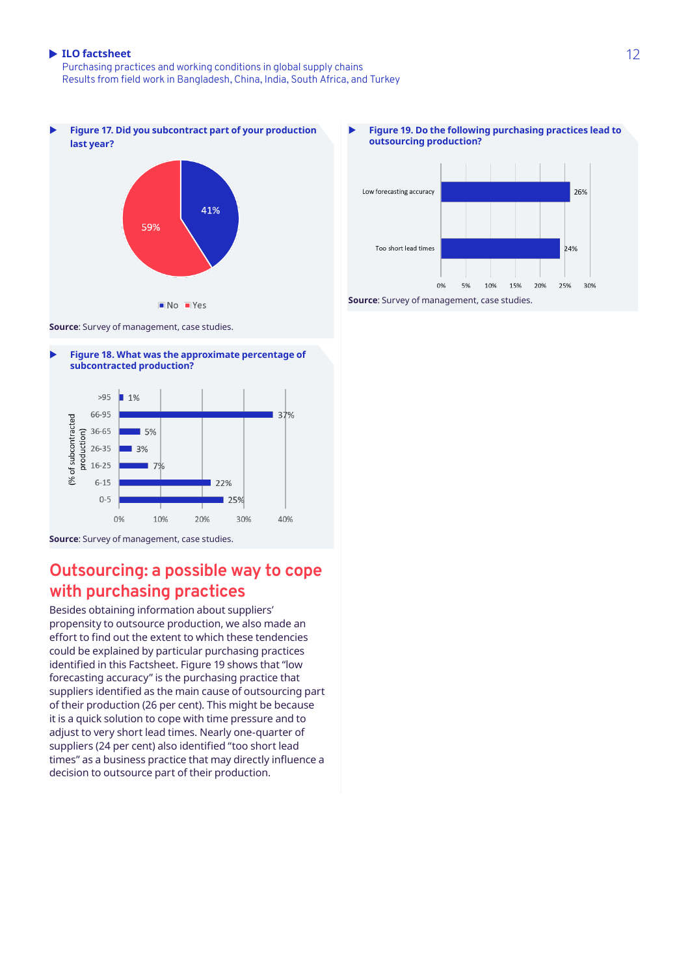Purchasing practices and working conditions in global supply chains Results from field work in Bangladesh, China, India, South Africa, and Turkey







**Source**: Survey of management, case studies.

### **Outsourcing: a possible way to cope with purchasing practices**

Besides obtaining information about suppliers' propensity to outsource production, we also made an effort to find out the extent to which these tendencies could be explained by particular purchasing practices identified in this Factsheet. Figure 19 shows that "low forecasting accuracy" is the purchasing practice that suppliers identified as the main cause of outsourcing part of their production (26 per cent). This might be because it is a quick solution to cope with time pressure and to adjust to very short lead times. Nearly one-quarter of suppliers (24 per cent) also identified "too short lead times" as a business practice that may directly influence a decision to outsource part of their production.

Figure 19. Do the following purchasing practices lead to **outsourcing production?**